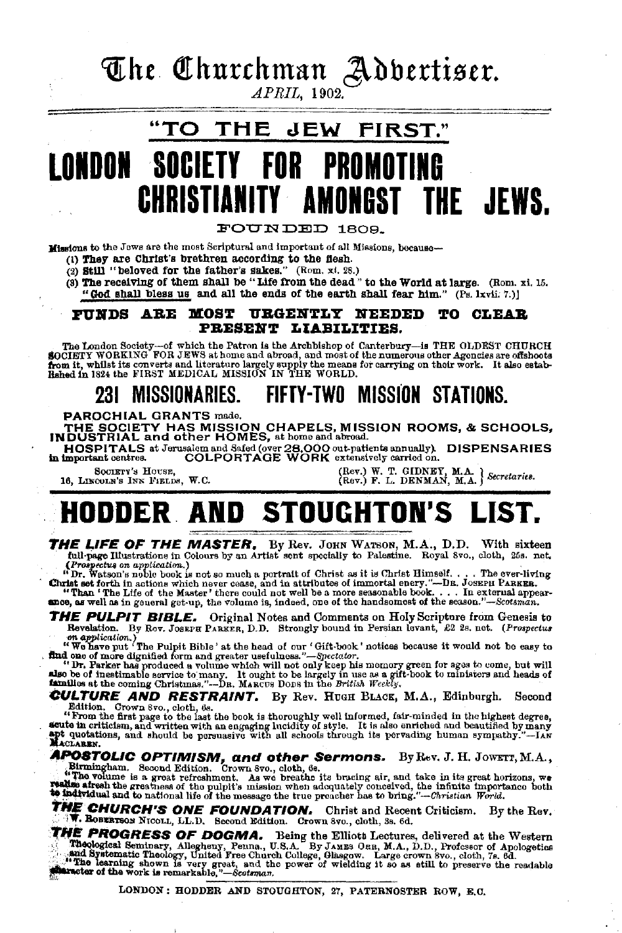The Churchman Adbertiser.

APRIL, 1902.

#### "TO THE JEW FIRST." NDON SOCIET PRNM CHRISTIANITY AMONGST THE JEWS.

FOUNDED 1809.

Missions to the Jews are the most Scriptural and important of all Missions, because-

- (1) They are Christ's brethren according to the fiesh.<br>(2) Still "beloved for the father's sakes." (Rom, xi, 28.)
- 
- (3) The receiving of them shall be "Life from the dead" to the World at large. (Rom. xi. 15. "God shall bless us and all the ends of the earth shall fear him." (Ps. lxvii. 7.)]

#### FUNDS ARE MOST URGENTLY NEEDED TO CLEAR PRESENT LIABILITIES.

The London Society-of which the Patron is the Archbishop of Canterbury-is THE OLDEST CHURCH SOCIETY WORKING FOR JEWS at home and abroad, and most of the numerous other Agoncies are offshoots from it, whilst its converts an

#### FIFTY-TWO MISSION STATIONS. 231 MISSIONARIES.

PAROCHIAL GRANTS made.

THE SOCIETY HAS MISSION CHAPELS, MISSION ROOMS, & SCHOOLS, INDUSTRIAL and other HOMES, at home and abroad.

HOSPITALS at Jerusalem and Safed (over 28,000 out-patients annually). DISPENSARIES<br>Important centres. COLPORTAGE WORK extensively carried on. in important centres.

SOCIETY'S HOUSE. 16, LINCOLN'S INN FIELDS, W.C. (Rev.) W. T. GIDNEY, M.A. } Secretaries.<br>(Rev.) F. L. DENMAN, M.A. } Secretaries.

#### HODDER AND **STOUGHTON'S**

THE LIFE OF THE MASTER. By Rev. JOHN WATSON, M.A., D.D. With sixteen full page Illustrations in Colours by an Artist sent specially to Palestine. Royal Svo., cloth, 25s. net.

Trapectus on application.)<br>
"Trapectus on application." The sense specially to Yacosum. Not all tools, cools, all the sense of the sense of the sense of the sense of the sense of the sense and the sense of the sense of the

THE PULPIT BIBLE. Original Notes and Comments on Holy Scripture from Genesis to Revelation. By Rov. JOSEPH PARKER, D.D. Strongly bound in Persian levant, £2 2s. net. (Prospectus

revealing to the Pulpit Bible' at the head of our 'Gift-book' notices because it would not be easy to<br>
"We have put 'The Pulpit Bible' at the head of our 'Gift-book' notices because it would not be easy to<br> **find one of m** 

**CULTURE AND RESTRAINT.** By Rev. HUGH BLACK, M.A., Edinburgh. Second

Edition. Grown Soc, cloth, 6s.<br>
"From the first page to the last the book is thoroughly well informed, fair-minded in the highest degree,<br>
"From the first page to the last the book is thoroughly well informed, fair-minded apt quotati

APOSTOLIC OPTIMISM, and other Sermons. By Rev. J. H. JOWETT, M.A.,<br>Birmingham. Second Edition. Crown 8vo., cloth, 6s.<br>When value is a great perfeahanchi. As we breathed its great perfeahanch. As we below a realise afree a

THE CHURCH'S ONE FOUNDATION. Christ and Recent Criticism. By the Rev.<br>**T. BOBERTSON** NICOLL, LL.D. Second Edition. Crown 8vo., cloth, 3s. 6d.

THE PROGRESS OF DOGMA. Being the Elliott Lectures, delivered at the Western Theological Seminary, Allegheny, Penna., U.S.A. By JAMES ORB, M.A., D.D., Professor of Apologetics Theological Seminary, Allegheny, Penna., U.S.A.

LONDON: HODDER AND STOUGHTON, 27, PATERNOSTER ROW, E.C.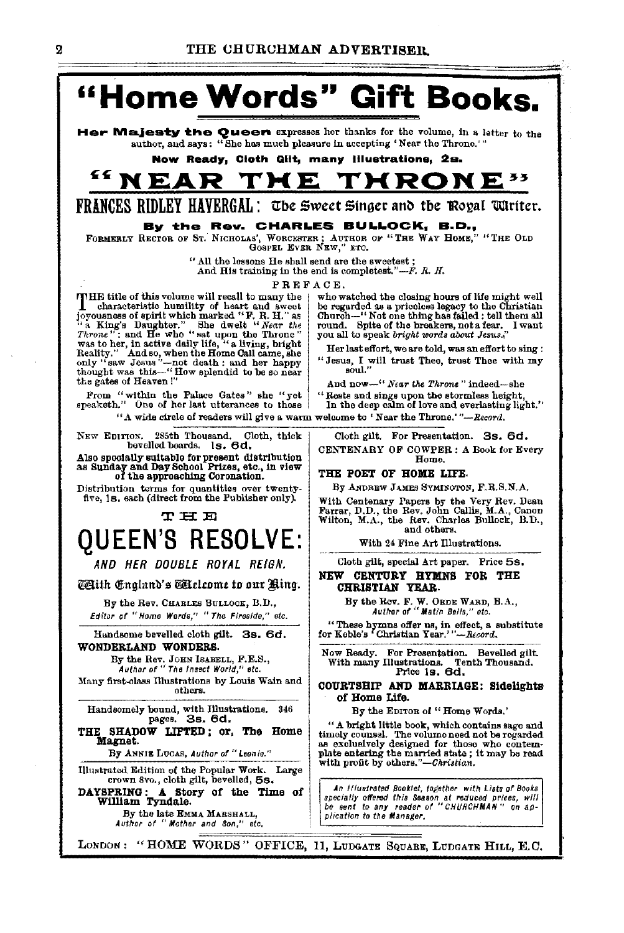

LONDON: "HOME WORDS" OFFICE, 11, LUDGATE SQUARE, LUDGATE HILL, E.C.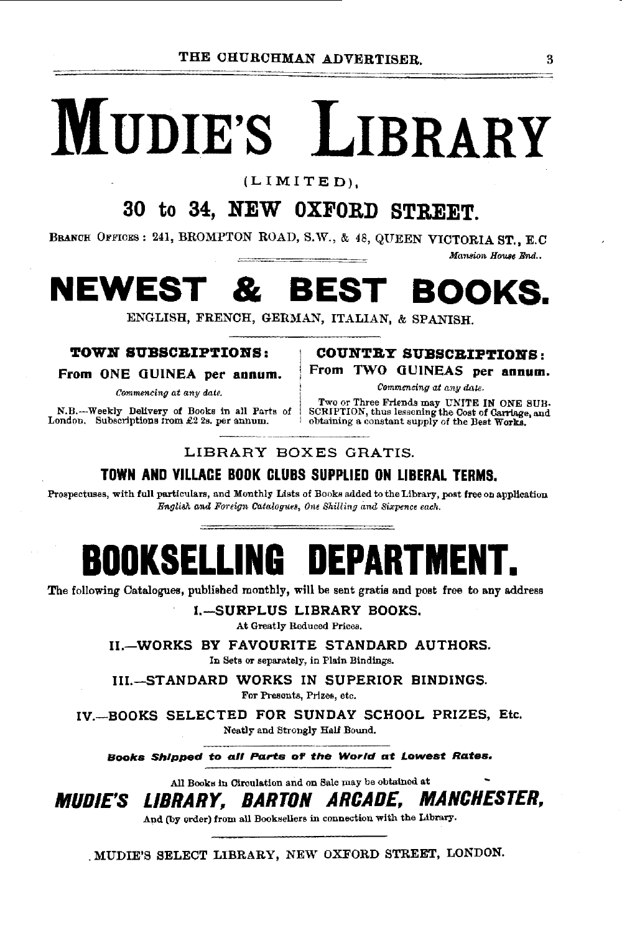# **MUDIE'S LIBRARY**

(LIMITED),

## **30 to 34, NEW OXFORD STREET.**

BRANCH OFFICES: 241, BROMPTON ROAD, S.W., & 48, QUEEN VICTORIA ST., E.C

*Mansion House End..* 

# **NEWEST & BEST BOOKS.**

ENGLISH, FRENCH, GERMAN, ITALIAN, & SPANISH.

#### **TOW:N SVBSCB.IPTIONS:**

**From ONE GUINEA per annum.** 

*Commencing at any date.* 

N.B.-Weekly Delivery of Books in all Parts of London. Subscriptions from  $£2$  2s. per annum.

#### **COUNTRY SUBSCRIPTIONS: From TWO 0 UINEAS per annum.**

*Commencing at any date.* 

Two or Three Friends may UNITE IN ONE SUB· SCRIPTION, thus lessening the Cost of Carriage, and obtaining a constant supply of the Best Works.

#### LIBRARY BOXES GRATIS.

#### **TOWN AND VILLAGE BOOK CLUBS SUPPLIED ON LIBERAL TERMS.**

Prospectuses, with full particulars, and Monthly Lists of Books added to the Library, post free on application *Bngliilh, and Foreign Calalo(JUes, One Shilling* and *Sixpence each.* 

**BOOK SELLING DEPARTMENT.** 

The following Catalogues, published monthly, will be sent gratis and post free to any address

**I.-SURPLUS LIBRARY BOOKS.** 

At Greatly Reduced Prices.

**H.-WORKS BY FAVOURITE STANDARD AUTHORS.**  In Sets or separately, in Plain Bindinge.

**III.--STANDARD WORKS IN SUPERIOR BINDINGS.** 

For Presents, Prizes, etc.

**IV.-BOOKS SELECTED FOR SUNDAY SCHOOL PRIZES,** Etc. Neatly and Strongly Half Bound.

**Books Shipped to all Pa.rl:s of' the World at Lowest Rates.** 

All Books in Circulation and on Sale may be obtained at

**MUDIE'S** LIBRARY~ **BARTON** ARCADE~ **MANCHESTER,** 

And (by order) from all Booksellers in connection with the Library.

. MUDIE'S SELECT LIBRARY, NEW OXFORD STREET, LONDON.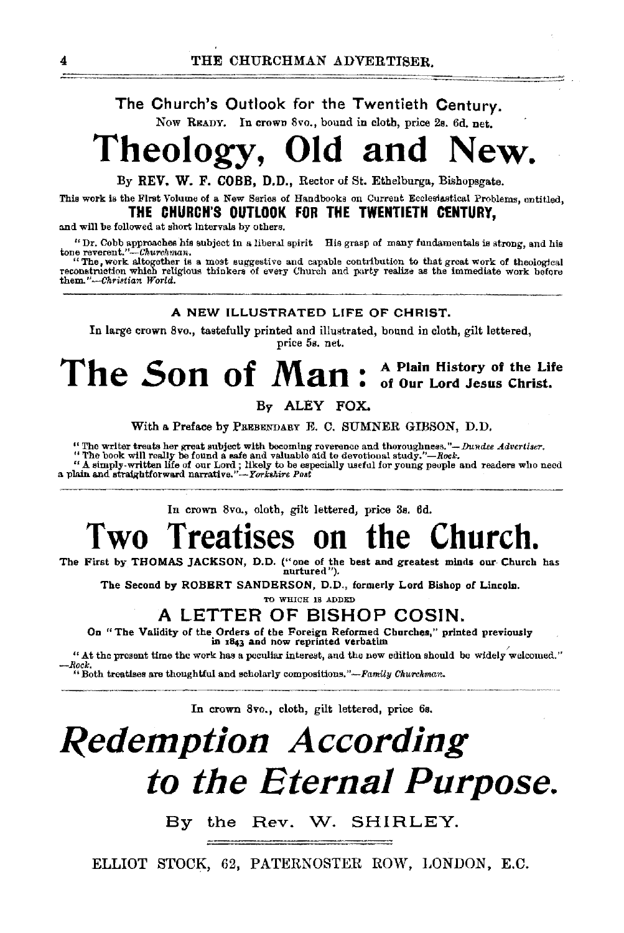#### The Church's Outlook for the Twentieth Century.

Now READY. In crown 8vo., bound in cloth, price 2s. 6d. net,

# **Theology, Old and New.**

By REV. W. F. COBB, D.D., Rector of St. Ethelburga, Bishopsgate.

This work is the First Volume of a New Series of Handbooks on Current Ecclesiastical Problems, entitled, THE CHURCH'S OUTLOOK FOR THE TWENTIETH C£NTURY,

and will be followed at short intervals by others.

"Dr. Cobb approaches his subject in a liberal spirit His grasp of many fundamentals is strong, and his tone revent."--Churchwan.<br>tone revent."--Churchwan.<br>"The, work altogether is a most suggestive and capable contribution

reconstruction which religious thinkers of every Church and party realize as the immediate work before them."-Christian World.

#### A NEW ILLUSTRATED LIFE OF CHRIST.

In large crown 8vo., tastefully printed and illustrated, bound in cloth, gilt lettered, price 5s. net.

## The Son of Man : A Plain History of the Life of Our Lord Jesus Christ.

By ALEY FOX.

With a Preface by PREBENDARY E. C. SUMNER GIBSON, D.D.

"The writer treats her great subject with becoming reverence and thoroughness."— Dundee Advertiser.<br>"The book will really be found a safe and valuable aid to devotional study."—Rock.<br>"A simply-written life of our Lord; li

In crown 8vo., o!otb, gilt lettered, price 3s. 6d.

# **Two Treatises on the Church.**

The First by THOMAS JACKSON, D.D. ("one of the best and greatest minds our Church has nurtured").

The Second by ROBERT SANDERSON, D.D., formerly Lord Bishop of Lincoln.

TO WHICH IS ADDED

## A LETTER OF BISHOP COSIN.

On "The Validity of the Orders of the Foreign Reformed Churches," printed previously in 1843 and now reprinted verbatim

" At the present time the work has a peculiar interest, and the new edition should be widely welcomed."

*-Rock.*  "Both treatises aro thoughtful and scholarly compositions."-Fami!y *CkYirckmar>-*

In crown 8vo., cloth, gilt lettered, price 6s.

# *Redemption According to the Eternal Purpose.*

By the Rev. W. SHIRLEY.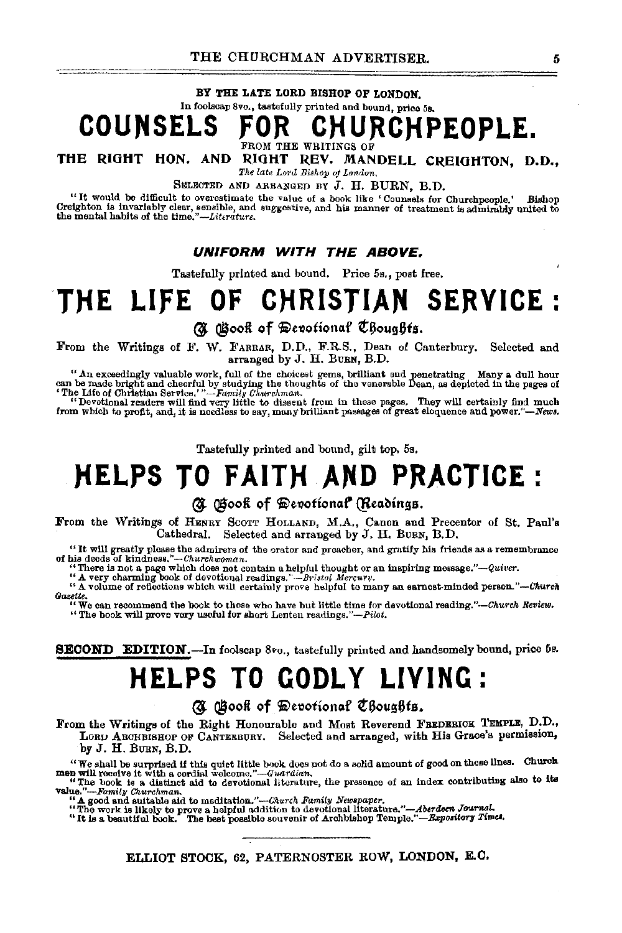#### BY THE LATE LORD BISHOP OF LONDON.

## COUNSELS FOR CHURCHF **CHURCHPEOPLE.**

FROM THE WRITINGS OF

THE RIGHT HON. AND RIGHT REV. MANDELL CREIGHTON, D.D., *The late Lord Bishop oj L<mdon.* 

SELECTED AND ARRANGED BY J. H. BURN, B.D.

"It would be difficult to overestimate the value of a book like 'Counsels for Churchpeople.' Bishop Creighton is invariably clear, sensible, and suggestive, and his manner of treatment is admirably united to the mental habits of the *tirne."-Littrature.* 

#### **UNIFORM WITH THE ABOVE.**

Tastefully printed and bound. Price 5a., post free.

# THE LIFE OF CHRISTIAN SERVICE :

(N Gook of Devotional Choughts.

From the Writings of F. \V. FARRAR, D.D., F.R.S., Dean of Canterbury. Selected and arranged by J. H. BuRN, B.D.

"An exceedingly valuable work, full of the choicest gems, brilliant and penetrating Many a dull hour can be made bright and cheerful by studying the thoughts of the venerable Dean, as depicted in the pages of

'The Life of Christian Service.'*"—-Family Churchman*.<br>''Devotional readers will find very little to dissent from in these pages. They will certainly find much<br>from which to profit, and, it is needless to say, many brillia

Tastefully printed and bound, gilt top, 5s,

## **NELPS TO FAITH AND PRACTICE:**

#### (U Gook of Devotional (Readings.

From the Writings of HENRY SCOTT HOLLAND, M.A., Canon and Precentor of St. Paul's Cathedral. Selected and arranged by J. H. BuRN, B.D.

"It will greatly please the admirers of the orator and preacher, and gratify his friends as a remembrance of his deeds of *klndnosa."--Churchwontan.* 

ms decas of kindness. —-*thurchwoman*.<br>
"There is not a page which does not contain a helpful thought or an inspiring message."—Quiver.<br>
"A very charming book of devotional readings."—*Bristol Mercury*.<br>
"A volume of refle *Gazette.* 

"We can recommend the book to those who have but little time for devotional reading."-Church Review.<br>"The book will prove very useful for short Lenten readings."-Pilot.

SECOND EDITION.-In foolscap 8vo., tastefully printed and handsomely bound, price 5s.

## **HELPS TO GODLY LIVING:**

(N Gooft of Devotional Choughts.

From the Writings of the Right Honourable and Most Reverend FERDERICK TEMPLE, D.D., LORD ARCHBISHOP OF CANTERBURY. Selected and arranged, with His Grace's permission, by J. H. BURN, B.D.

We shall be surprised if this quiet little book does not do a solid amount of good on these lines. Church will receive it with a cordial welcome."—Guardian,<br>men will receive it with a cordial velocity of an index contribu

value."--Family Churchman.<br>"A good and suitable aid to meditation."---Church *Family Newspaper*.<br>"A good and suitable aid to means a helpion addition to devotional literation.

"The work is likely to prove a helpful addition to devotional literature."--Aberdeen Journal.<br>"It is a beautiful book. The best possible souvenir of Archbishop Temple."-Expository Times.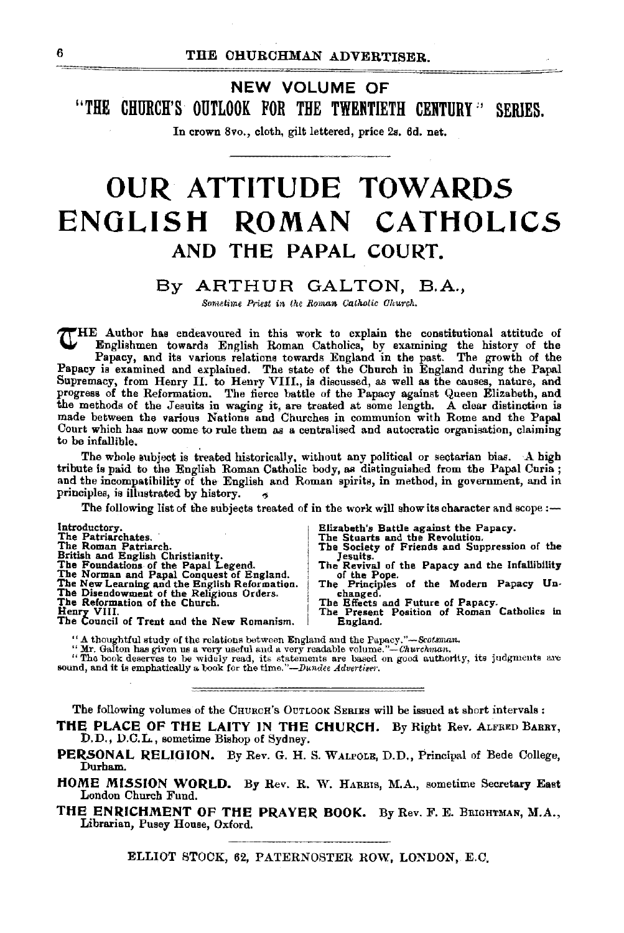NEW VOLUME OF "THE CHURCH'S OUTLOOK FOR THE TWENTIETH CENTURY" SERIES.

In crown Svo., cloth, gilt lettered, price 2s. 6d. net.

## **OUR ATTITUDE TOWARDS ENGLISH ROMAN CATHOLICS**  AND THE PAPAL COURT.

#### By ARTHUR GALTON, B.A.,

*Smnetime Prie8t in the Roman* Catkolic *Okurch.* 

THE Author has endeavoured in this work to explain the constitutional attitude of Englishmen towards English Roman Catholics, by examining the history of the Papacy, and its various relations towards England in the past. The growth of the Papacy is examined and explained. The state of the Church in Engl Supremacy, from Henry II. to Henry VIII., is discussed, as well as the causes, nature, and progress of the Reformation. The fierce battle of the Papacy against Queen Elizabeth, and the methods of the Jesuits in waging it, are treated at some length. A clear distinction is made between the various Nations and Churches in communion with Rome and the Papal Court which has now come to rule them as a centralised and autocratic organisation, claiming to be infallible.

The whole subject is treated historically, without any political or sectarian bias. A high tribute is paid to the English Roman Catholic body, as distinguished from the Papal Curia ; and the incompatibility of the English and Roman spirits, in method, in government, and in principles, is illustrated by history.

The following list of the subjects treated of in the work will show its character and scope  $:$ -

| Introductory.                                 | Elizabeth's Battle against the Papacy.          |
|-----------------------------------------------|-------------------------------------------------|
| The Patriarchates.                            | The Stuarts and the Revolution.                 |
| The Roman Patriarch.                          | The Society of Friends and Suppression of the   |
| British and English Christianity.             | Jesuits.                                        |
| The Foundations of the Papal Legend.          | The Revival of the Papacy and the Infallibility |
| The Norman and Papal Conquest of England.     | of the Pope.                                    |
| The New Learning and the English Reformation. | The Principles of the Modern Papacy Un-         |
| The Disendowment of the Religious Orders.     | changed.                                        |
| The Reformation of the Church.                | The Effects and Future of Papacy.               |
| Henry VIII.                                   | The Present Position of Roman Catholics in      |
| The Council of Trent and the New Romanism.    | England.                                        |

'' A thoughtful study of the relations between England and the Papacy."*--Scotsman.*<br>" Mr. Galton has given us a very useful and a very readable volume."-*-Churchman.* 

"The book deserves to be widely read, its statements are based on good authority, its judgments are sound, and it is emphatically a. book for the time."-Dundee Advertiser.

The following volumes of the CHURCH's OUTLOOK SERIES will be issued at short intervals :

THE PLACE OF THE LAITY IN THE CHURCH. By Right Rev. ALFRED BARRY, D.D., D.C.L., sometime Bishop of Sydney.

PERSONAL RELIGION. By Rev. G. H. S. WALPOLE, D.D., Principal of Bede College, Durham.

HOME MISSION WORLD. By Rev. R. W. HARRIS, M.A., sometime Secretary East London Church Fund.

THE ENRICHMENT OF THE PRAYER BOOK. By Rev. F. E. BRIGHTMAN, M.A., Librarian, Pusey House, Oxford.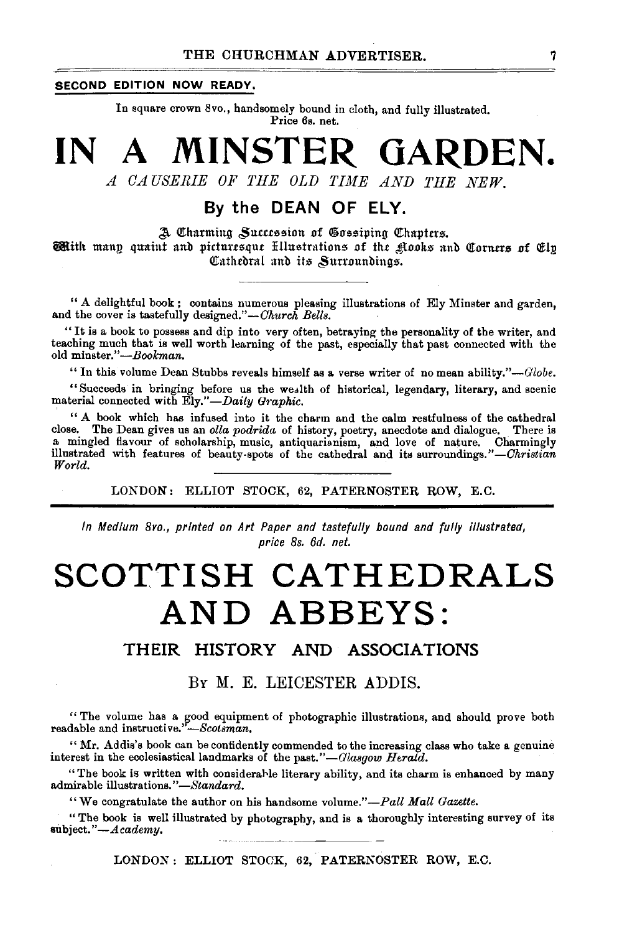#### **SECOND EDITION NOW READY.**

In square crown 8vo., handsomely bound in cloth, and fully illustrated. Price 6s. net.

# **IN A MINSTER GARDEN.**

A CAUSERIE OF THE OLD TIME AND THE NEW.

### **By the DEAN OF ELY.**

 $a$  Charming Succession of Gossiping Chapters. **With** mann quaint and picturesque Ellustrations of the Rooks and Corners of Elp. Cathedral and its Surroundings.

" A delightful book ; contains numerous pleasing illustrations of Ely Minster and garden, and the cover is tastefully designed."-Church Bells.

"It is a book to possess and dip into very often, betraying the personality of the writer, and teaching much that is well worth learning of the past, especially that past connected with the old *minster."-Bookman.* 

" In this volume Dean Stubbs reveals himself as a verse writer of no mean ability." $-Globe.$ 

"Succeeds in bringing before us the weolth of historical, legendary, literary, and scenic material connected with *Ely."-Daily Graphic*.

" A book which has infused into it the charm and the calm restfulness of the cathedral close. The Dean gives us an *olla podrida* of history, poetry, anecdote and dialogue. There is close. The Dean gives us an *olla podrida* of history, poetry, anecdote and dialogue. There is a mingled flavour of scholarship, music, antiquarianism, and love of nature. Charmingly illustrated with features of beauty-spots of the cathedral and its surroundings." *-Christian World.* 

LONDON: ELLIOT STOCK, 62, PATERNOSTER ROW, E.C.

*In Medium 8vo., printed on Art Paper and tastefully bound and fully illustrated, price 8s. 6d. net.* 

# **SCOTTISH CATHEDRALS AND ABBEYS:**

#### **THEIR HISTORY AND ASSOCIATIONS**

#### *BY* M. E. LEICESTER ADDIS.

" The volume has a good equipment of photographic illustrations, and should prove both readable and instructive."-Scotsman.

"Mr. Addis's book can be confidently commended to the increasing class who take a genuine interest in the ecclesiastical landmarks of the past."-Glasgow Herald.

"The book is written with considerable literary ability, and its charm is enhanced by many admirable illustrations." *-Standard.* 

"We congratulate the author on his handsome volume."-Pall Mall Gazette.

"The book is well illustrated by photography, and is a thoroughly interesting survey of its subject."-Academy.

LONDON: ELLIOT STOCK, 62, PATERKOSTER ROW, E.C.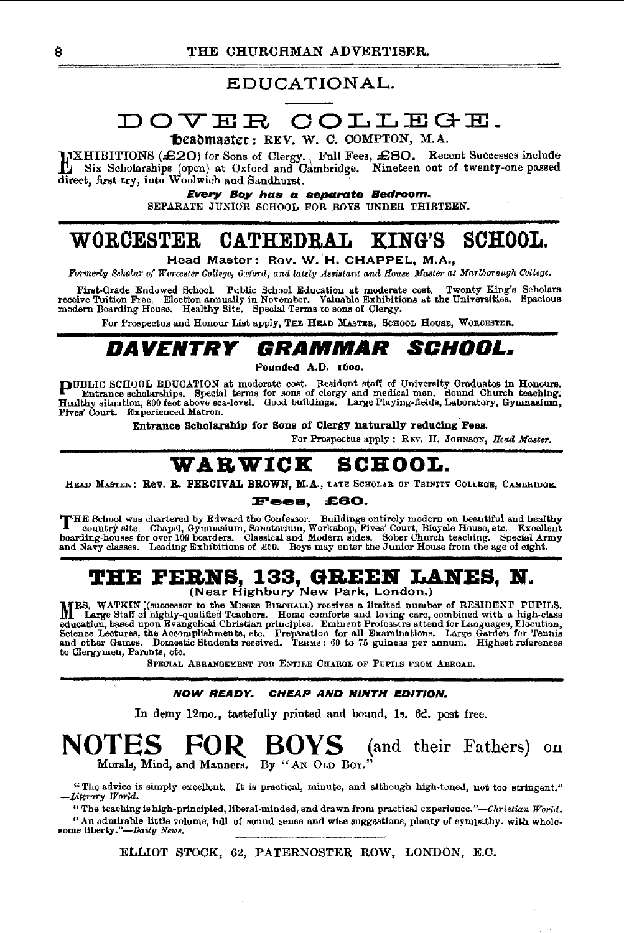#### EDUCATIONAL.

## DOVER COLLEGE\_

#### Deadmaster: REV. W. C. COMPTON, M.A.

EXHIBITIONS (£20) for Sons of Clergy. , Full Fees, £80. Recent Successes include Six Scholarships (open) at Oxford and Cambridge. Nineteen out of twenty-one passed direct, first try, into Woolwich and Saudhurst.

#### Every Boy has a separate Bedroom.

SEPARATE JUNIOR SCHOOL FOR BOYS UNDER THIRTEEN.

## **WORCESTER CATHEDRAL KING'S SCHOOL.**

Head Master: Rev. W. H. CHAPPEL, M.A.,

*FIYI'merly Scholar of Worcester College, Oxford, and* lat.ly Aa&islant *and HoWle Master* at *Marlborough College.* 

First-Grade Endowed School. Public School Education at moderate cost. Twenty King's Scholars<br>receive Tuition Free. Election annually in November. Valuable Exhibitions at the Universities. Spacious<br>modern Boarding House. He

For Prospectus and Honour List apply, THE HEAD MASTER, SCHOOL HOUSE, WORCESTER.

## **DA VENTRY GRAMMAR SCHOOL.**

Pounded A.D. 1600.

**PUBLIC** SCHOOL EDUCATION at moderate cost. Resident staff of University Graduates in Honours.<br>Entrance scholarships. Special terms for sons of clergy and medical men. Sound Church teaching.<br>Healthy situation, 800 feet abo Fives' Court. Experienced Matron.

Entrance Scholarship for Sons of Clergy naturally reducing Fees.

For Prospectus apply: REV. H. JOHNSON, *Bead Master*.

## **WABWIOK SCHOOL.**

HEAD MASTER: Rev. R. PERCIVAL BROWN, M.A., LATE SCHOLAR OF TRINITY COLLEGE, CAMBRIDGE.

#### Fee•• **£80.**

THE School was chartered by Edward the Confessor. Buildings entirely modern on beautiful and healthy country site. Chapel, Gymnasium, Sanatorium, Workshop, Fives' Court, Bicycle Houso, etc. Excellent boarding-houses for ov

# **THE FERNS, 133, GREEN LANES, N.**<br>(Near Highbury New Park, London.)

MRS. WATKIN (Successor to the MISSES BIRCHALL) receives a limited number of RESIDENT PUPILS.<br>In Large Staff of highly-qualified Teachers. Home conforts and loving care, combined with a high-class<br>celucation, based upon Eva

SPECIAL ARRANGEMENT FOR ENTIRE CHARGE OF PUPILS FROM ABROAD,

#### NOW READY. CHEAP AND NINTH EDITION.

In demy 12mo., tastefully printed and bound, ls. 6c. post free.

### **NOTES FOR. BOYS** (and their Fathers) on Morals, Mind, and Manners. By "AN OLD Boy."

"The advice is simply excellent. It is practical, minute, and although high·toneJ, not too atringent." -Literary World.

"The teaching is high-principled, liberal-minded, and drawn from practical experience."-Christian World. "An admirable little volume, full of sound sense and wise suggestions, plenty of sympathy. with whole-some liberty."-Daily *News*.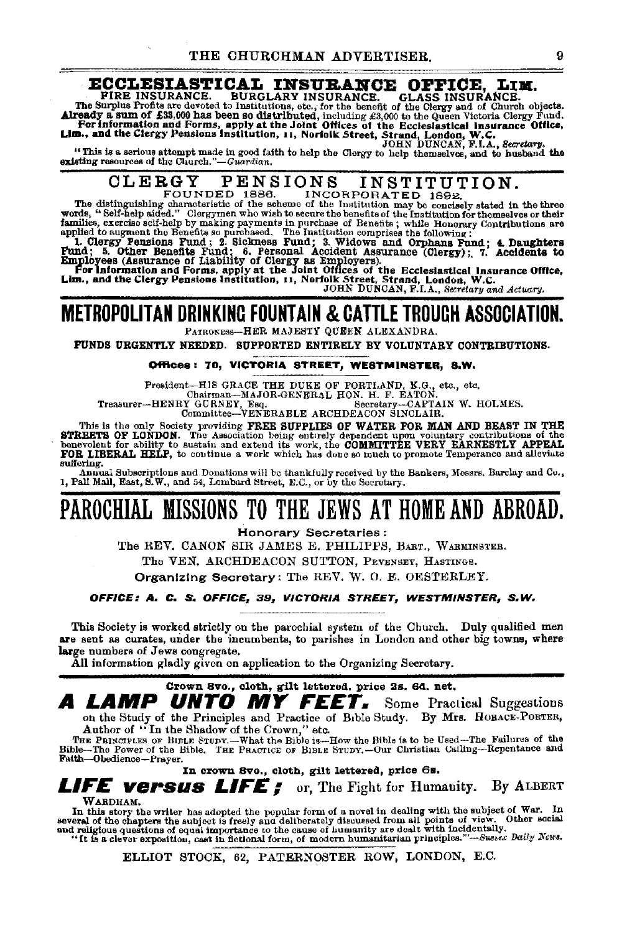## **ECCLESIASTICAL INSURANCE OFFICE, LIM.**<br>PIRE INSURANCE. BURGLARY INSURANCE. GLASS INSURANCE.

FIRE INSURANCE. BURGLARY INSURANCE. GLASS INSURANCE.<br>The Surplus Fronts are devoted to Institutions, etc., for the benefit of the Glergy and of Church objects.<br>Already a sum of £33,000 has been so distributed, including £3

## CLERGY PENSIONS INSTITUTION.

FOUNDED 1886. INCORPORATED 1892.<br>The distinguishing characteristic of the scheme of the Institution may be concisely stated in the three<br>words, "Self-help aided." Clergymen who wish to secure the benefits of the Institutio

families, exercise self-help by making payments in purchase of Benefits; while Honorary Contributions are pulsed to augment the Benefits so purchased. The Institution comprises the following:<br>1. Clergy Pensions Pund; 2. Si

Employees (Assurance of Liability of Clergy as Employers).<br>For Information and Forms, apply at the Joint Offices of the Ecclesiastical Insurance Office,<br>Lim., and the Clergy Pensions Institution, 11, Norfolk Street, Strand

#### METROPOLITAN DRINKING FOUNTAIN & CATTLE TROUGH ASSOCIATION. PATRONEss-HER MAJESTY QUEEN ALEXANDRA.

FUNDS URGENTLY NEEDED. SUPPORTED ENTIRELY BY VOLUNTARY CONTRIBUTIONS.

#### Offices: 70, VICTORIA STREET, WESTMINSTER, S.W.

President-HIS GRACE THE DUKE OF PORTI,AND, K.G., etc., etc. Chairman-MAJOR-GENERAL HON. H. F. EATON.<br>Treasurer-HENRY GURNEY, Esq. Secretary-CAPTAIN W. HOLMES.<br>Committee-VENERABLE ARCHDEACON SINCLAIR.

This is the only Society providing FREE SUPPLIES OF WATER FOR MAN AND BEAST IN THE STREETS OF WEIGHT AND SERVED FOR THE SERVED OF the Association being enterpy dependent upon voluntary contributions of the COMMITTEE VERY E sulfering.

Annual Subscriptions and Donations will be thankfully received by the Bankers, Messrs. Barclay and Co., 1, Pall Mall, East, S.W., and 54, Lombard Street, E.C., or by the Secretary.

## PAROCHIAL MISSIONS TO THE JEWS AT HOME AND ABROAD.

Honorary Secretaries :

The REV. CANON SIR JAMES E. PHILIPPS, BART., WARMINSTER.

The VEN. ARCHDEACON SUTTON, PEVENSEY, HASTINGS.

Organizing Secretary: The REV. W. 0. E. OESTERLEY.

#### OFFICE: A. *C.* S, OFFICE, 39*1* VICTORIA STREET, WESTMINSTER, S. W.

This Society is worked strictly on the parochial system of the Church. Duly qualified men are sent as curates, under the incumbents, to parishes in London and other big towns, where large numbers of Jews congregate.

All information gladly given on application to the Organizing Secretary.

#### Crown 8vo., cloth, gilt lettered. price 2s. 6d. net.

A LAMP UNTO MY FEET. Some Practical Suggestions on the Study of the Principles and Practice of Bible Study. By Mrs. HoBACE-PORTER, Author of "In the Shadow of the Crown," etc.

THE PRINCIPLES OF BIBLE STODY.--What the Bible is-How the Bible is to be Used-The Failures of the Bible--The Power of the Bible. THE PRACTICE OF BIBLE STUDY.--Our Christian Calling--Repentance and<br>Faith--Obedience--Prayer.

In crown svo., cloth, gilt lettered, price 6s.

*LIFE versus LIFE;* or, The Fight for Humanity. By ALBERT

WARDHAM.

In this story the writer has adopted the popular form of a novel in dealing with the subject of War. In several of the chapters the subject is freely and deliberately discussed from all points of view. Other social and re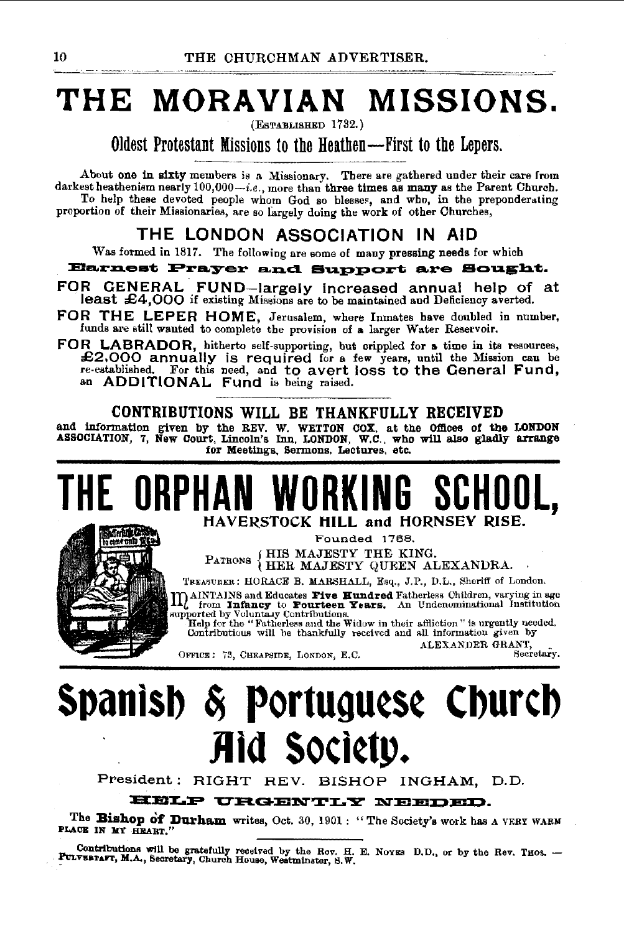# **THE MORAVIAN MISSIONS.**

(EsTABLISHED 1732.)

Oldest Protestant Missions to the Heathen-First to the Lepers.

About one in sixty members is a Missionary. There are gathered under their care from darkest heathenism nearly  $100,000-i.e.,$  more than three times as many as the Parent Church. To help these devoted people whom God so blesses, and who, in the preponderating proportion of their Missionaries, are so largely doing the work of other Churches,

#### THE LONDON ASSOCIATION IN AID

Was formed in 1817. The following are some of many pressing needs for which

Earnest Prayer and Support are Sought.

- FOR GENERAL FUND-largely increased annual help of at least £4,000 if existing Missions are to be maintained and Deficiency averted.
- FOR THE LEPER HOME, Jerusalem, where Inmates have doubled in number, funds are still wanted to complete the provision of a larger Water Reservoir.
- FOR LABRADOR, hitherto self-supporting, but crippled for a time in ita resources,  $\pounds2,000$  annually is required for a few years, until the Mission can be re-established. For this need, and to avert loss to the General Fund, an ADDITIONAL Fund is being raised.

#### CONTRIBUTIONS WILL BE THANKFULLY RECEIVED

and information given by the REV. W. WETTON COX, at the Offices of the LONDON ASSOCIATION, 7, New Court, Lincoln's Inn, LONDON, W.C., who will also gladly arrange for Meetings, Sermons, Lectures. etc.

# **HAVERSTOCK HILL and HORNSEY RISE.**



Founded 1758. PATRONS {HIS MAJESTY THE KING.<br>HER MAJESTY QUEEN ALEXANDRA.

TREASURER: HORACE B. MARSHALL, Esq., J.P., D.L., Sheriff of London.<br>
11. AINTAINS and Educates Five Hundred Fatherless Children, varying in age main The Education Children The Hundred Children, varying in age from Infancy to Trutteen Years. An Undenominational Institution supported by Voluntary Contributions...

Help for the "Fatherless and the Widow in their affliction" is urgently needed. Contributious will be thankfully received and all information given by

ALEXANDER GRANT,<br>OFFICE: 73, CHEAPSIDE, LONDON, E.C. Secretary.

# **Spantsb 6j Portugu¢S¢ Cburcb Jlld SOCI¢tp.**

President: RIGHT REV. BISHOP INGHAM, D.D.

#### EELP URGENTLY NEEDED.

The Bishop of Durham writes, Oct. 30, 1901: "The Society's work has A VERY WARM PLACE IN MY HEART.

Contributions will be gratefully received by the Rev. H. E. NoyEs D.D., or by the Rev. Thos. -  $P^{U1/VEBTAT}$ , M.A., Secretary, Church House, Weatminster, 8. W.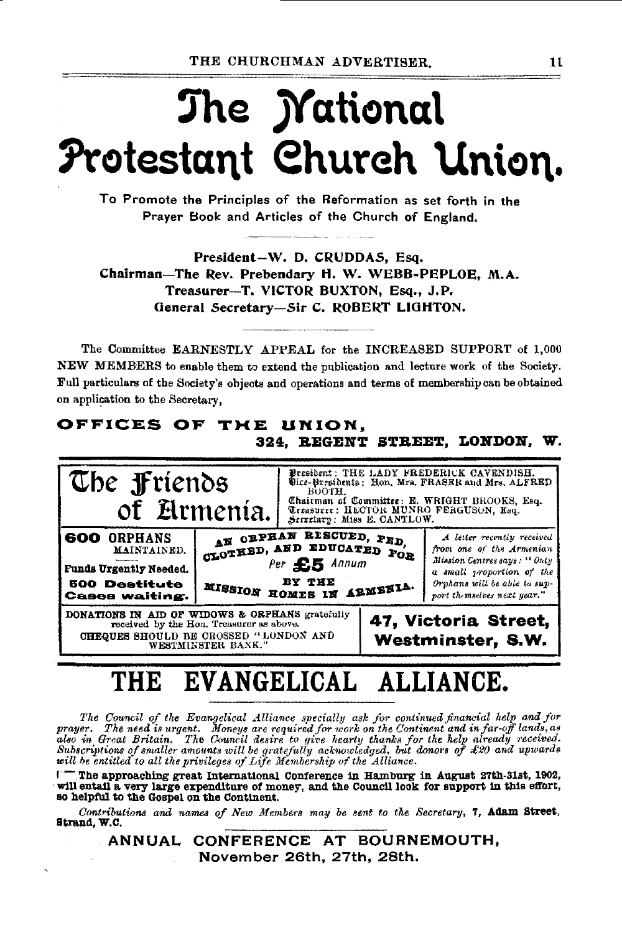# The *Mational* Protestant Church Union.

To Promote the Principles of the Reformation as set forth in the Prayer Book and Articles of the Church of England.

President-W. D. CRUDDAS, Esq. Chairman-The Rev. Prebendary H. W. WEBB-PEPLOE. M.A. Treasurer-T. VICTOR BUXTON, Esq., J.P. General Secretary-Sir C. ROBERT LIGHTON.

The Committee EARNESTLY APPEAL for the INCREASED SUPPORT of 1,000 NEW MEMBERS to enable them to extend the publication and lecture work of the Society. Full particulars of the Society's objects and operations and terms of membership can be obtained on application to the Secretary,

#### OFFICES OF THE UNION, 324. REGENT STREET, LONDON, W.



#### EVANGELICAL ALLIANCE. THE

The Council of the Evangelical Alliance specially ask for continued financial help and for prayer. The need is urgent. Moneys are required for work on the Continent and in far-off lands, as<br>also in Great Britain. The Council desire to give hearty thanks for the help already received.<br>Subscriptions of smaller amo will be entitled to all the privileges of Life Membership of the Alliance.

The approaching great International Conference in Hamburg in August 27th-31st, 1902, will entail a very large expenditure of money, and the Council look for support in this effort, so helpful to the Gospel on the Continent.

Contributions and names of New Members may be sent to the Secretary, 7, Adam Street, Strand, W.C.

> ANNUAL CONFERENCE AT BOURNEMOUTH, November 26th, 27th, 28th.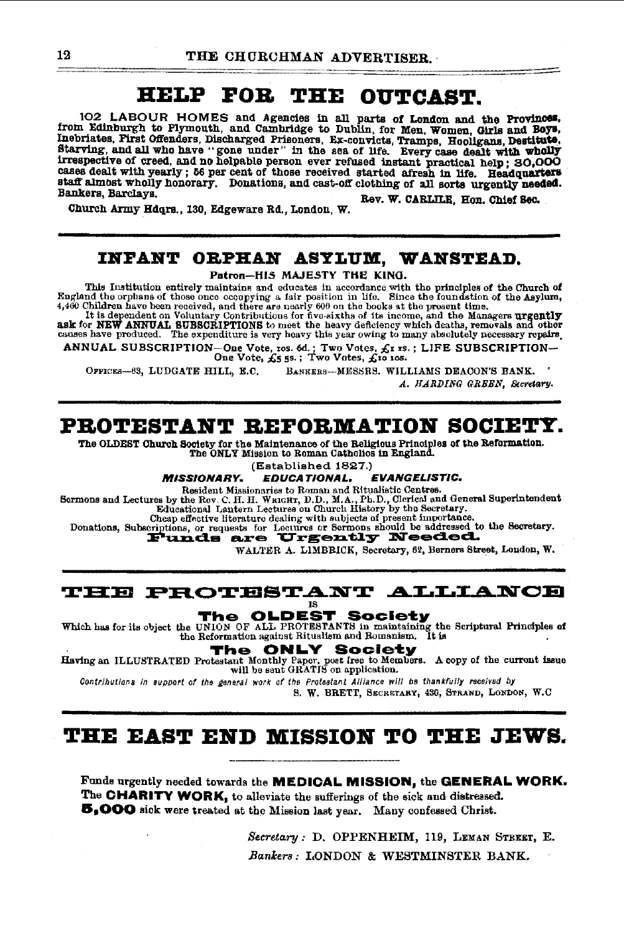#### **HELP THE** FOR. **OUTCAST.**

102 LABOUR HOMES and Agencies in all parts of London and the Provinces, from Edinburgh to Plymouth, and Cambridge to Dublin, for Men, Women, Girls and Boys. Inebriates, Pirst Offenders, Discharged Prisoners, Ex-convicts, Tramps, Hooligans, Destitute. Starving, and all who have "gone under" in the sea of life. Every case dealt with wholly<br>irrespective of creed, and no helpable person ever refused instant practical help; 30,000 cases dealt with yearly; 56 per cent of those received started afresh in life. Headquarters staff almost wholly honorary. Donations, and cast-off clothing of all sorts urgently needed. Bankers, Barclavs Rev. W. CARLILE. Hon. Chief Sec.

Church Army Hdqrs., 130, Edgeware Rd., London, W.

### INFANT ORPHAN ASYLUM, WANSTEAD.

Patron-HIS MAJESTY THE KING.

This Institution entirely maintains and educates in accordance with the principles of the Church of England the orphans of those once occupying a fair position in life. Since the foundation of the Asylum, 4,460 Children ha

ANNUAL SUBSCRIPTION-One Vote, ros. 6d.; Two Votes,  $f_X$ r 15.; LIFE SUBSCRIPTION-One Vote,  $f_S$ 5 5s.; Two Votes,  $f_Y$ o 10s.

OFFICES-63, LUDGATE HILL, E.C. BANKERS-MESSRS. WILLIAMS DEACON'S BANK. A. HARDING GREEN. Secretary.

### PROTESTANT REFORMATION SOCIETY.

The OLDEST Church Society for the Maintenance of the Religious Principles of the Reformation. The ONLY Mission to Roman Catholics in England.

(Established 1827.)

*EVANGELISTIC.* **MISSIONARY. EDUCATIONAL.** 

Resident Missionaries to Roman and Ritualistic Centres.<br>
Sermons and Lectures by the Rev. C. H. H. WRIGHT, D.D., M.A., Ph.D., Clerical and General Superintendent<br>
Educational Lantern Lectures on Church History by the Secre

Cheap effective literature dealing with subjects of present importance

Donations, Subscriptions, or requests for Lectures or Sermons should be addressed to the Secretary.

WALTER A. LIMBBICK, Secretary, 62, Berners Street, London, W.

#### **THE PROTESTANT ALLIANCE** 18

The OLDEST Society

Which has for its object the Reformation against Bill Philosopher Change the Scriptural Principles of the UNION OF ALL PROTESTANTS in maintaining the Scriptural Principles of the Reformation against Ritualism and Romanism. the Reformation against Ritualism and Romanism.

The **ONLY Society** 

Having an ILLUSTRATED Protestant Monthly Paper, poet free to Members. A copy of the current issue will be sent GRATIS on application.

Contributions in support of the deneral work of the Protastant Alliance will be thankfully received by

S. W. BRETT, SECRETARY, 430, STRAND, LONDON, W.C.

## THE EAST END MISSION TO THE JEWS.

Funds urgently needed towards the MEDICAL MISSION, the GENERAL WORK. The CHARITY WORK, to alleviate the sufferings of the sick and distressed. 5,000 sick were treated at the Mission last year. Many confessed Christ.

> Secretary: D. OPPENHEIM, 119, LEMAN STREET, E. Bankers: LONDON & WESTMINSTER BANK.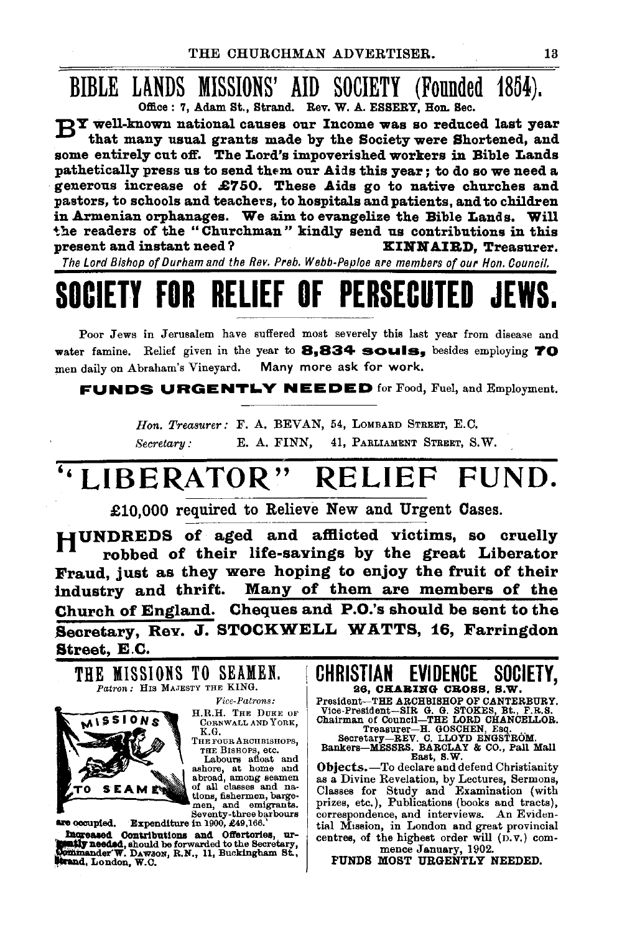# BIBLE LANDS MISSIONS' AID SOCIETY (Founded 1854).

 $\mathbb{R}^{T}$  well-known national causes our Income was so reduced last year that many usual grants made by the Society were Shortened, and some entirely cut off. The Lord's impoverished workers in Bible Lands pathetically press us to send them our Aids this year; to do so we need a · generous increase of .£7 50. These Aids go to native churches and pastors, to schools and teachers, to hospitals and patients, and to children in Armenian orphanages. We aim to evangelize the Bible Lands. Will 'the readers of the "Churchman" kindly send us contributions in this present and instant need? XINNAIRD, Treasurer.

The Lord Bishop of Durham and the Rev. Preb. Webb-Peploe are members of our Hon. Council.

# SOCIETY FOR RELIEF OF PERSECUTED

Poor Jews in Jerusalem have suffered most severely this last year from disease and water famine. Relief given in the year to 8,834 souls, besides employing TO men daily on Abraham's Vineyard. Many more ask for work.

FUNDS URGENTLY NEEDED for Food, Fuel, and Employment.

*Hon. Treasurer:* F. A. BEVAN, 54, LoMBARD STREET, E. C. *Secretary:* E. A. FINN, 41, PARLIAMENT STREET, S.W.

## ''LIBERATOR" RELIEF FUND.

£10,000 required to Relieve New and Urgent Cases.

HUNDREDS of aged and afflicted victims, so cruelly robbed of their life-savings by the great Liberator Fraud, just as they were hoping to enjoy the fruit of their industry and thrift. Many of them are members of the Church of England. Cheques and P.O.'s should be sent to the Secretary, Rev. J. STOCKWELL WATTS, 16, Farringdon Street, E.C.

THE MISSIONS TO SEAMEN. *Patron:* His MAJESTY THE KING. *Vice-Patrons:*  O N K.G. THE FOUR ARCHBISHOPS, THE BISHOPS, etc.

H.R.H. THE DUKE OF CoRNWALL AND YoRK,

Labours afloat and ashore, at home and abroad, among seamen of all classes and na-<br>tions, fishermen, barge- men, and emigrants.<br>Home fishermen, barge- men, and emigrants.

are occupied. Expenditure in 1900, £49,166.

Ingreased Contributions and Offertories, ur-<br>easily needed, should be forwarded to the Secretary,  $\overline{\text{W}}$  minander W. DAwaon, R.N., 11, Buckingham St., ..

CHRISTIAN EVIDENCE SOCIETY, 26, CHABING CROSS, S.W.

President-THE ARCHBISHOP OF CANTERBURY. Vice-President-SIR. G. G. STOKES, Bt., F.R.S.<br>Chairman of Council-THE LORD CHANCELLOR.<br>Secretary-REV. C. LLOYD ENGSTROM.<br>Secretary-REV. C. LLOYD ENGSTROM.<br>Bankers-MESSRS. BARCLAY & CO., Pall Mall

East, S.W.

Objects.-To declare and defend Christianity as a Divine Revelation, by Lectures, Sermons, Classes for Study and Examination (with prizes, etc.), Publications (books and tracts), correspondence, and interviews. An Evidential Mission, in London and great provincial centres, of the highest order will  $(D, v)$  com-<br>mence January, 1902.

FUNDS MOST URGENTLY NEEDED.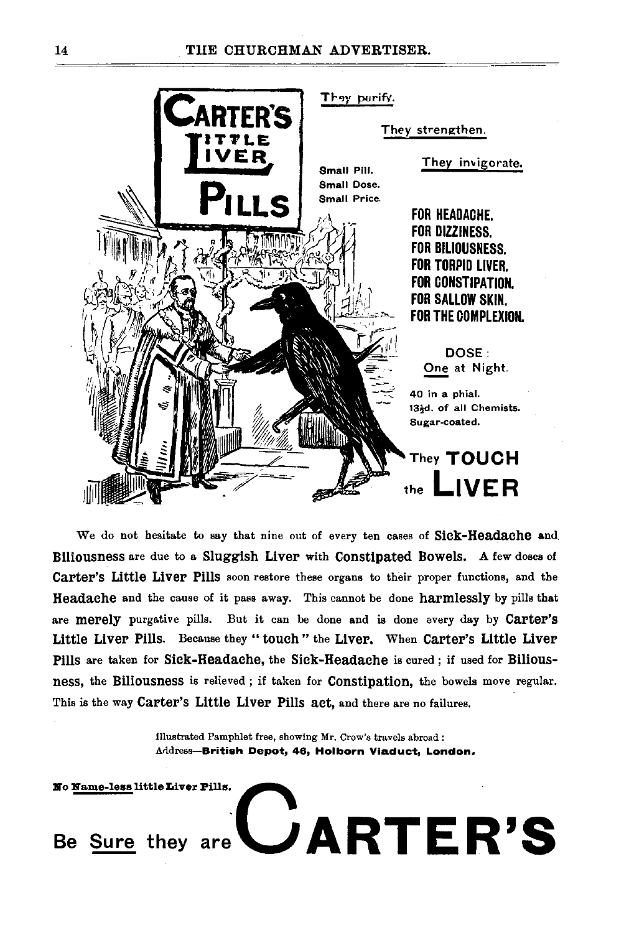

We do not hesitate to say that nine out of every ten cases of Sick-Headache and Biliousness are due to a Sluggish Liver with Constipated Bowels. A few doses of Carter's Little Liver Pills soon restore these organs to their proper functions, and the Headache and the cause of it pass away. This cannot be done harmlessly by pills that are merely purgative pills. But it can be done and is done every day by Carter's Little Liver Pills. Because they "touch" the Liver. When Carter's Little Liver Pills are taken for Sick-Headache, the Sick-Headache is cured; if used for Biliousness, the Biliousness is relieved ; if taken for Constipation, the bowels move regular. This is the way Carter's Little Liver Pills act, and there are no failures.

> Illustrated Pamphlet free, showing Mr. Crow's travels abroad : Address-British Depot, 46, Holborn Viaduct, London.

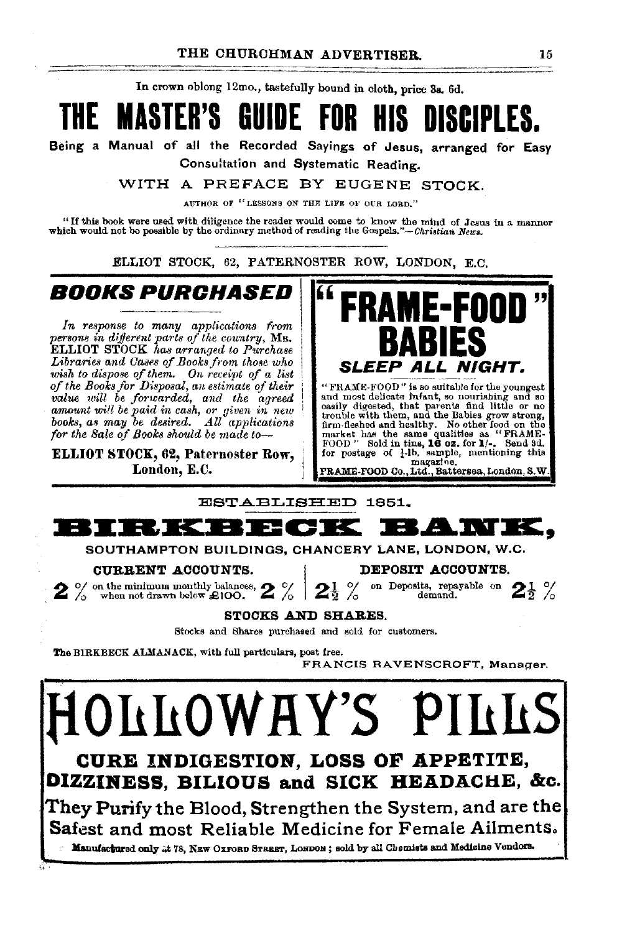In crown oblong 12mo., tastefully bound in cloth, price 38. 6d.

# **THE MASTER'S GUIDE FOR HIS DISCIPLES.**

Being a Manual of all the Recorded Sayings of Jesus, arranged for Easy Consultation and Systematic Reading.

WITH A PREFACE BY EUGENE STOCK.

AUTHOR OF "LESSONS ON THE LIFE OF OUR LORD."

"If this book were used with diligence the reader would come to know the mind of Jesus In a manner which would not be possible by the ordinary method of reading the *Gospels."-Christian News.* 

ELLIOT STOCK, 62, PATERNOSTER ROW, LONDON, E.C.

## **BOOKS PURCHASED**

*In response to many applications from* persons in different parts of the country, Mr. ELLIOT STOCK *has arranged to Purchase* Libraries and Cases of Books from those who *wish to dispose of them. On receipt of a list of the Books for Disposal, an estimate of their value will be forwarded, and the agreed*<br>amount will be paid in cash, or given in new<br>books, as may be desired. All applications<br>for the Sale of Books should be made to-

ELLIOT STOCK, 62, Paternoster Row, London, E.C.



"FRAME-FOOD" is so suitable for the youngest<br>and most delicate infant, so nourishing and so<br>casily digested, that parents find little or no<br>trouble with them, and the Babies grow strong,<br>firm-fieshed and healthy. No other magazine.<br>FRAME-FOOD Co., Ltd., Battersea, London, S.W.

ESTABLISHED 1851.



SOUTHAMPTON BUILDINGS, CHANCERY LANE, LONDON, W.C. CURRENT ACCOUNTS. I DEPOSIT ACCOUNTS.

**2** % on the minimum monthly balances,  $2$  %  $2$   $\frac{1}{2}$  % on Deposits, repayable on  $2\frac{1}{2}$  % on Deposits, repayable on  $2\frac{1}{2}$  %



#### STOCKS AND SHARES.

Stocks and Shares purchased and sold for customers.

The BIRKBECK ALMANACK, with full particulars, post free.

FRANCIS RAVENSCROFT, Manager.

## LLOWHY'S **F CURE INDIGESTION, LOSS OF APPETITE, DIZZINESS, BILIOUS and SICK HEADACHE, &c.** They Purify the Blood, Strengthen the System, and are the Safest and most Reliable Medicine for Female Ailments. Manufactured only .it 78, NEW OXFORD STREET, LONDON; sold by all Chemists and Medicine Vendors.